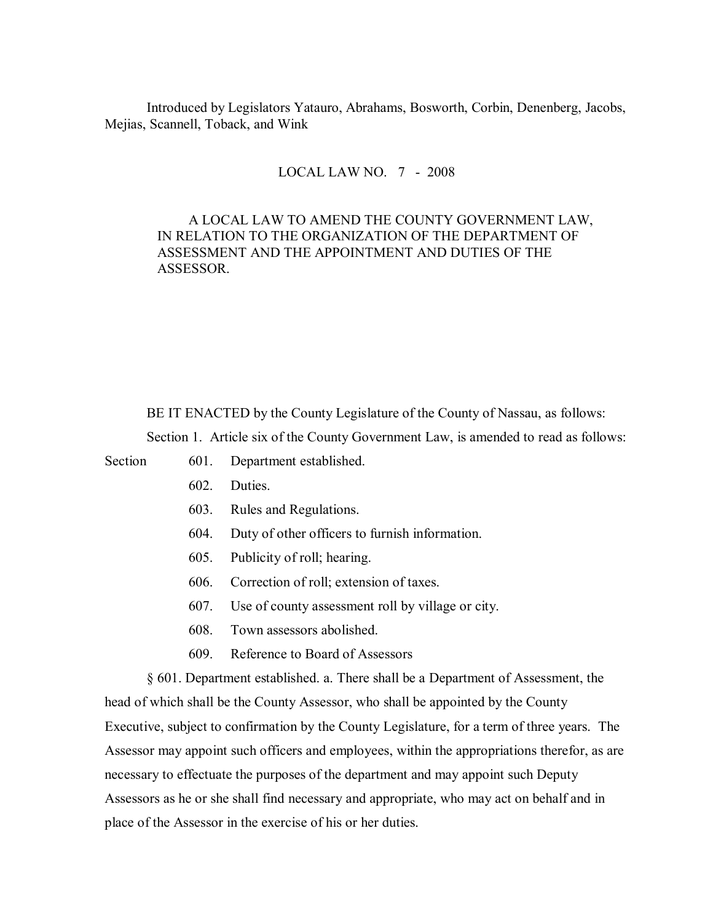Introduced by Legislators Yatauro, Abrahams, Bosworth, Corbin, Denenberg, Jacobs, Mejias, Scannell, Toback, and Wink

## LOCAL LAW NO. 7 - 2008

## A LOCAL LAW TO AMEND THE COUNTY GOVERNMENT LAW, IN RELATION TO THE ORGANIZATION OF THE DEPARTMENT OF ASSESSMENT AND THE APPOINTMENT AND DUTIES OF THE ASSESSOR.

BE IT ENACTED by the County Legislature of the County of Nassau, as follows:

Section 1. Article six of the County Government Law, is amended to read as follows:

Section 601. Department established.

- 602. Duties.
- 603. Rules and Regulations.
- 604. Duty of other officers to furnish information.
- 605. Publicity of roll; hearing.
- 606. Correction of roll; extension of taxes.
- 607. Use of county assessment roll by village or city.
- 608. Town assessors abolished.
- 609. Reference to Board of Assessors

§ 601. Department established. a. There shall be a Department of Assessment, the head of which shall be the County Assessor, who shall be appointed by the County Executive, subject to confirmation by the County Legislature, for a term of three years. The Assessor may appoint such officers and employees, within the appropriations therefor, as are necessary to effectuate the purposes of the department and may appoint such Deputy Assessors as he or she shall find necessary and appropriate, who may act on behalf and in place of the Assessor in the exercise of his or her duties.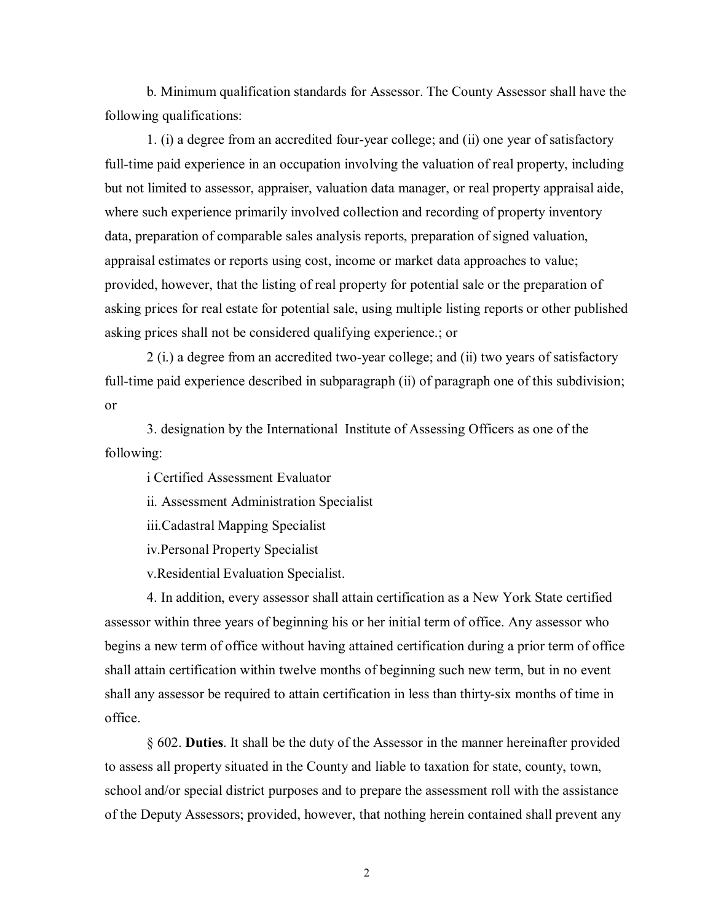b. Minimum qualification standards for Assessor. The County Assessor shall have the following qualifications:

1. (i) a degree from an accredited four-year college; and (ii) one year of satisfactory full-time paid experience in an occupation involving the valuation of real property, including but not limited to assessor, appraiser, valuation data manager, or real property appraisal aide, where such experience primarily involved collection and recording of property inventory data, preparation of comparable sales analysis reports, preparation of signed valuation, appraisal estimates or reports using cost, income or market data approaches to value; provided, however, that the listing of real property for potential sale or the preparation of asking prices for real estate for potential sale, using multiple listing reports or other published asking prices shall not be considered qualifying experience.; or

2 (i.) a degree from an accredited two-year college; and (ii) two years of satisfactory full-time paid experience described in subparagraph (ii) of paragraph one of this subdivision; or

3. designation by the International Institute of Assessing Officers as one of the following:

i Certified Assessment Evaluator

ii. Assessment Administration Specialist

iii.Cadastral Mapping Specialist

iv.Personal Property Specialist

v.Residential Evaluation Specialist.

4. In addition, every assessor shall attain certification as a New York State certified assessor within three years of beginning his or her initial term of office. Any assessor who begins a new term of office without having attained certification during a prior term of office shall attain certification within twelve months of beginning such new term, but in no event shall any assessor be required to attain certification in less than thirty-six months of time in office.

§ 602. **Duties**. It shall be the duty of the Assessor in the manner hereinafter provided to assess all property situated in the County and liable to taxation for state, county, town, school and/or special district purposes and to prepare the assessment roll with the assistance of the Deputy Assessors; provided, however, that nothing herein contained shall prevent any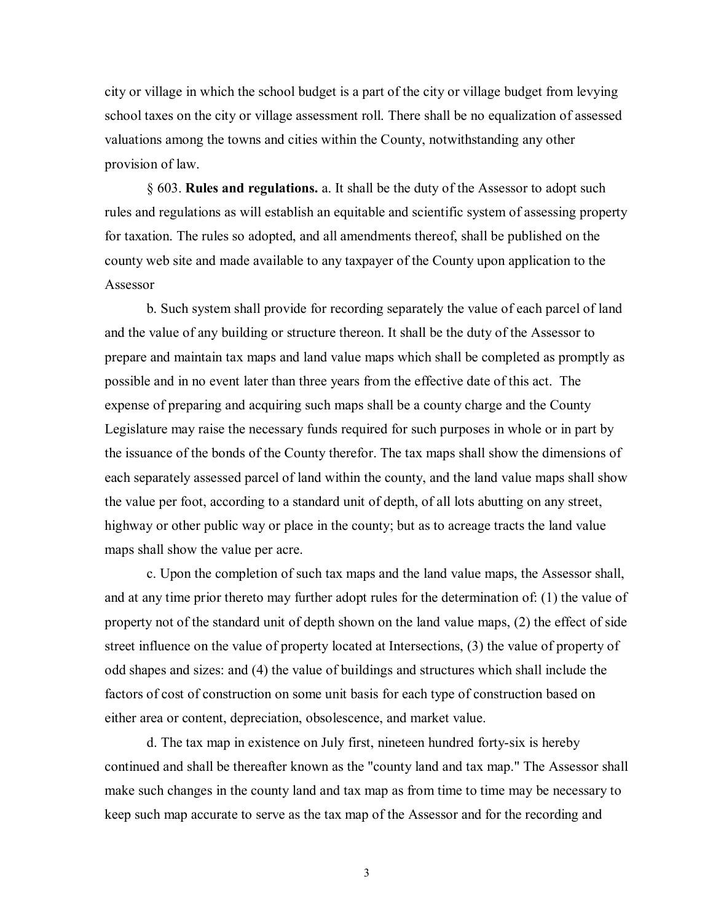city or village in which the school budget is a part of the city or village budget from levying school taxes on the city or village assessment roll. There shall be no equalization of assessed valuations among the towns and cities within the County, notwithstanding any other provision of law.

§ 603. **Rules and regulations.** a. It shall be the duty of the Assessor to adopt such rules and regulations as will establish an equitable and scientific system of assessing property for taxation. The rules so adopted, and all amendments thereof, shall be published on the county web site and made available to any taxpayer of the County upon application to the Assessor

b. Such system shall provide for recording separately the value of each parcel of land and the value of any building or structure thereon. It shall be the duty of the Assessor to prepare and maintain tax maps and land value maps which shall be completed as promptly as possible and in no event later than three years from the effective date of this act. The expense of preparing and acquiring such maps shall be a county charge and the County Legislature may raise the necessary funds required for such purposes in whole or in part by the issuance of the bonds of the County therefor. The tax maps shall show the dimensions of each separately assessed parcel of land within the county, and the land value maps shall show the value per foot, according to a standard unit of depth, of all lots abutting on any street, highway or other public way or place in the county; but as to acreage tracts the land value maps shall show the value per acre.

c. Upon the completion of such tax maps and the land value maps, the Assessor shall, and at any time prior thereto may further adopt rules for the determination of: (1) the value of property not of the standard unit of depth shown on the land value maps, (2) the effect of side street influence on the value of property located at Intersections, (3) the value of property of odd shapes and sizes: and (4) the value of buildings and structures which shall include the factors of cost of construction on some unit basis for each type of construction based on either area or content, depreciation, obsolescence, and market value.

d. The tax map in existence on July first, nineteen hundred forty-six is hereby continued and shall be thereafter known as the "county land and tax map." The Assessor shall make such changes in the county land and tax map as from time to time may be necessary to keep such map accurate to serve as the tax map of the Assessor and for the recording and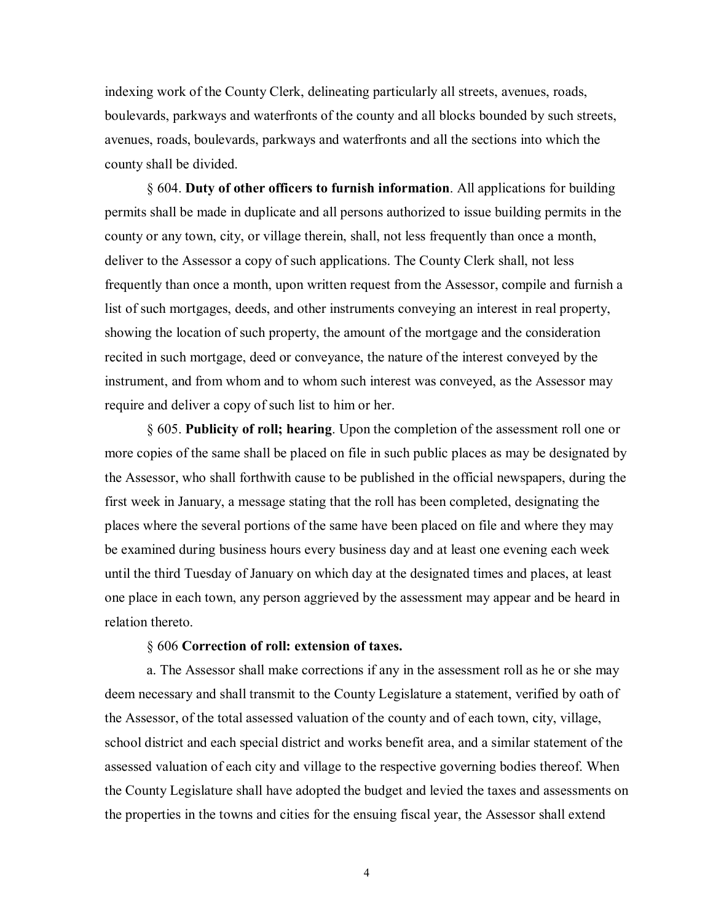indexing work of the County Clerk, delineating particularly all streets, avenues, roads, boulevards, parkways and waterfronts of the county and all blocks bounded by such streets, avenues, roads, boulevards, parkways and waterfronts and all the sections into which the county shall be divided.

§ 604. **Duty of other officers to furnish information**. All applications for building permits shall be made in duplicate and all persons authorized to issue building permits in the county or any town, city, or village therein, shall, not less frequently than once a month, deliver to the Assessor a copy of such applications. The County Clerk shall, not less frequently than once a month, upon written request from the Assessor, compile and furnish a list of such mortgages, deeds, and other instruments conveying an interest in real property, showing the location of such property, the amount of the mortgage and the consideration recited in such mortgage, deed or conveyance, the nature of the interest conveyed by the instrument, and from whom and to whom such interest was conveyed, as the Assessor may require and deliver a copy of such list to him or her.

§ 605. **Publicity of roll; hearing**. Upon the completion of the assessment roll one or more copies of the same shall be placed on file in such public places as may be designated by the Assessor, who shall forthwith cause to be published in the official newspapers, during the first week in January, a message stating that the roll has been completed, designating the places where the several portions of the same have been placed on file and where they may be examined during business hours every business day and at least one evening each week until the third Tuesday of January on which day at the designated times and places, at least one place in each town, any person aggrieved by the assessment may appear and be heard in relation thereto.

## § 606 **Correction of roll: extension of taxes.**

a. The Assessor shall make corrections if any in the assessment roll as he or she may deem necessary and shall transmit to the County Legislature a statement, verified by oath of the Assessor, of the total assessed valuation of the county and of each town, city, village, school district and each special district and works benefit area, and a similar statement of the assessed valuation of each city and village to the respective governing bodies thereof. When the County Legislature shall have adopted the budget and levied the taxes and assessments on the properties in the towns and cities for the ensuing fiscal year, the Assessor shall extend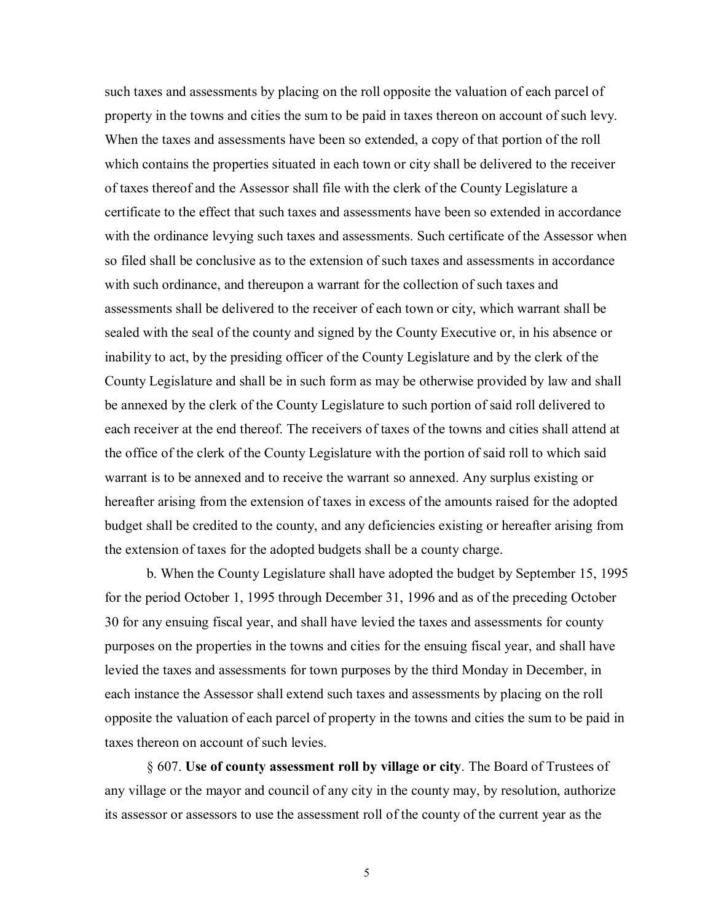such taxes and assessments by placing on the roll opposite the valuation of each parcel of property in the towns and cities the sum to be paid in taxes thereon on account of such levy. When the taxes and assessments have been so extended, a copy of that portion of the roll which contains the properties situated in each town or city shall be delivered to the receiver of taxes thereof and the Assessor shall file with the clerk of the County Legislature a certificate to the effect that such taxes and assessments have been so extended in accordance with the ordinance levying such taxes and assessments. Such certificate of the Assessor when so filed shall be conclusive as to the extension of such taxes and assessments in accordance with such ordinance, and thereupon a warrant for the collection of such taxes and assessments shall be delivered to the receiver of each town or city, which warrant shall be sealed with the seal of the county and signed by the County Executive or, in his absence or inability to act, by the presiding officer of the County Legislature and by the clerk of the County Legislature and shall be in such form as may be otherwise provided by law and shall be annexed by the clerk of the County Legislature to such portion of said roll delivered to each receiver at the end thereof. The receivers of taxes of the towns and cities shall attend at the office of the clerk of the County Legislature with the portion of said roll to which said warrant is to be annexed and to receive the warrant so annexed. Any surplus existing or hereafter arising from the extension of taxes in excess of the amounts raised for the adopted budget shall be credited to the county, and any deficiencies existing or hereafter arising from the extension of taxes for the adopted budgets shall be a county charge.

b. When the County Legislature shall have adopted the budget by September 15, 1995 for the period October 1, 1995 through December 31, 1996 and as of the preceding October 30 for any ensuing fiscal year, and shall have levied the taxes and assessments for county purposes on the properties in the towns and cities for the ensuing fiscal year, and shall have levied the taxes and assessments for town purposes by the third Monday in December, in each instance the Assessor shall extend such taxes and assessments by placing on the roll opposite the valuation of each parcel of property in the towns and cities the sum to be paid in taxes thereon on account of such levies.

§ 607. **Use of county assessment roll by village or city**. The Board of Trustees of any village or the mayor and council of any city in the county may, by resolution, authorize its assessor or assessors to use the assessment roll of the county of the current year as the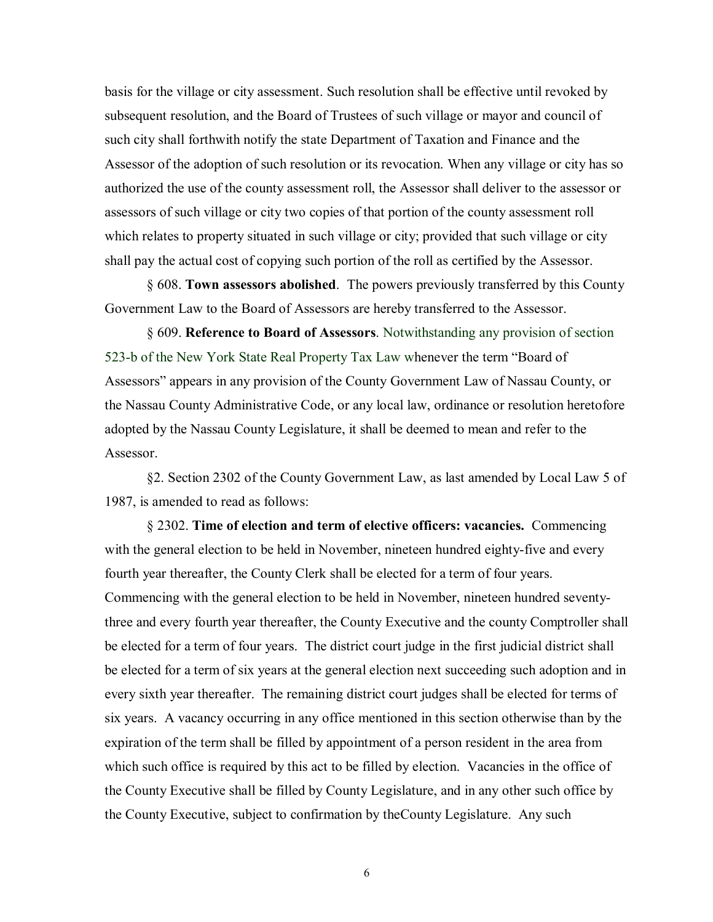basis for the village or city assessment. Such resolution shall be effective until revoked by subsequent resolution, and the Board of Trustees of such village or mayor and council of such city shall forthwith notify the state Department of Taxation and Finance and the Assessor of the adoption of such resolution or its revocation. When any village or city has so authorized the use of the county assessment roll, the Assessor shall deliver to the assessor or assessors of such village or city two copies of that portion of the county assessment roll which relates to property situated in such village or city; provided that such village or city shall pay the actual cost of copying such portion of the roll as certified by the Assessor.

§ 608. **Town assessors abolished**. The powers previously transferred by this County Government Law to the Board of Assessors are hereby transferred to the Assessor.

§ 609. **Reference to Board of Assessors**. Notwithstanding any provision of section 523-b of the New York State Real Property Tax Law whenever the term "Board of Assessors" appears in any provision of the County Government Law of Nassau County, or the Nassau County Administrative Code, or any local law, ordinance or resolution heretofore adopted by the Nassau County Legislature, it shall be deemed to mean and refer to the Assessor.

§2. Section 2302 of the County Government Law, as last amended by Local Law 5 of 1987, is amended to read as follows:

§ 2302. **Time of election and term of elective officers: vacancies.** Commencing with the general election to be held in November, nineteen hundred eighty-five and every fourth year thereafter, the County Clerk shall be elected for a term of four years. Commencing with the general election to be held in November, nineteen hundred seventythree and every fourth year thereafter, the County Executive and the county Comptroller shall be elected for a term of four years. The district court judge in the first judicial district shall be elected for a term of six years at the general election next succeeding such adoption and in every sixth year thereafter. The remaining district court judges shall be elected for terms of six years. A vacancy occurring in any office mentioned in this section otherwise than by the expiration of the term shall be filled by appointment of a person resident in the area from which such office is required by this act to be filled by election. Vacancies in the office of the County Executive shall be filled by County Legislature, and in any other such office by the County Executive, subject to confirmation by theCounty Legislature. Any such